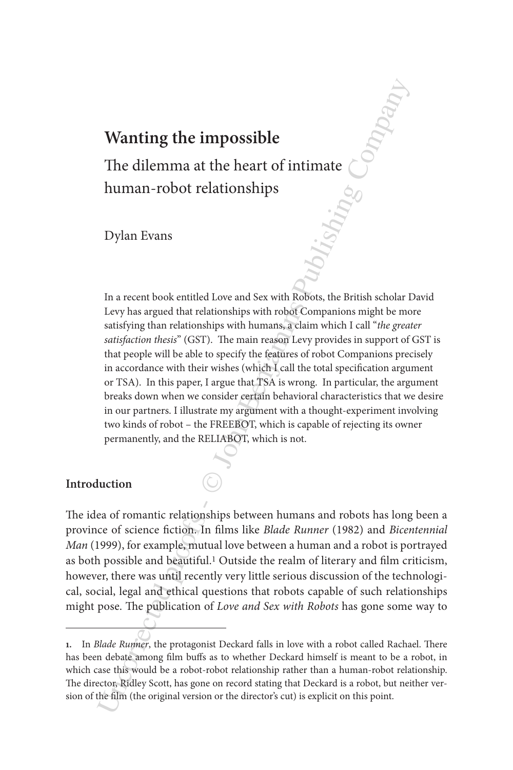# **Wanting the impossible**

The dilemma at the heart of intimate human-robot relationships

Dylan Evans

**Wanting the impossible**<br>
The dilemma at the heart of intimate change and the measurements of the measurements of the measurement book entitled Love and Sex with Robots, the British scholar Levy has argued that relationsh In a recent book entitled Love and Sex with Robots, the British scholar David Levy has argued that relationships with robot Companions might be more satisfying than relationships with humans, a claim which I call "*the greater satisfaction thesis*" (GST). The main reason Levy provides in support of GST is that people will be able to specify the features of robot Companions precisely in accordance with their wishes (which I call the total specification argument or TSA). In this paper, I argue that TSA is wrong. In particular, the argument breaks down when we consider certain behavioral characteristics that we desire in our partners. I illustrate my argument with a thought-experiment involving two kinds of robot – the FREEBOT, which is capable of rejecting its owner permanently, and the RELIABOT, which is not.

#### **Introduction**

The idea of romantic relationships between humans and robots has long been a province of science fiction. In films like *Blade Runner* (1982) and *Bicentennial Man* (1999), for example, mutual love between a human and a robot is portrayed as both possible and beautiful.1 Outside the realm of literary and film criticism, however, there was until recently very little serious discussion of the technological, social, legal and ethical questions that robots capable of such relationships might pose. The publication of *Love and Sex with Robots* has gone some way to

**<sup>1.</sup>** In *Blade Runner*, the protagonist Deckard falls in love with a robot called Rachael. There has been debate among film buffs as to whether Deckard himself is meant to be a robot, in which case this would be a robot-robot relationship rather than a human-robot relationship. The director, Ridley Scott, has gone on record stating that Deckard is a robot, but neither version of the film (the original version or the director's cut) is explicit on this point.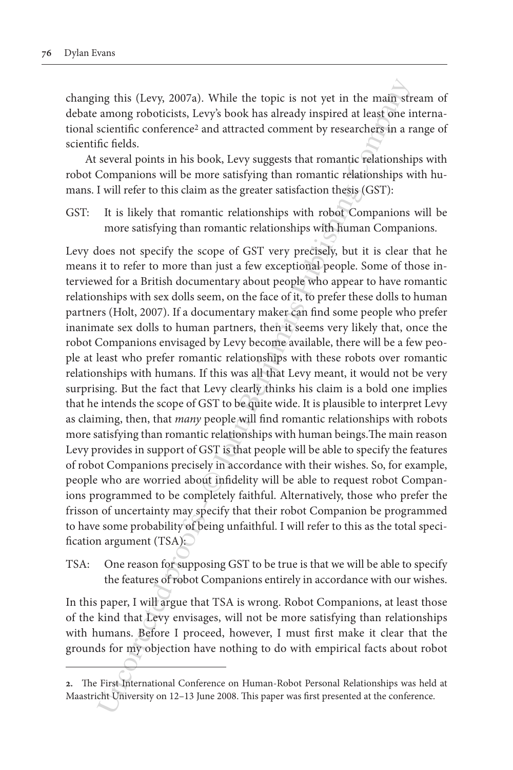changing this (Levy, 2007a). While the topic is not yet in the main stream of debate among roboticists, Levy's book has already inspired at least one international scientific conference2 and attracted comment by researchers in a range of scientific fields.

At several points in his book, Levy suggests that romantic relationships with robot Companions will be more satisfying than romantic relationships with humans. I will refer to this claim as the greater satisfaction thesis (GST):

GST: It is likely that romantic relationships with robot Companions will be more satisfying than romantic relationships with human Companions.

mg this (Levy, 2007a). While the topic is not yet in the main sfr<br>among roboticists, Levy's book has already inspired at least one is<br>eclentific conference<sup>2</sup> and attracted comment by researchefs in a race<br>fic fields. sev Levy does not specify the scope of GST very precisely, but it is clear that he means it to refer to more than just a few exceptional people. Some of those interviewed for a British documentary about people who appear to have romantic relationships with sex dolls seem, on the face of it, to prefer these dolls to human partners (Holt, 2007). If a documentary maker can find some people who prefer inanimate sex dolls to human partners, then it seems very likely that, once the robot Companions envisaged by Levy become available, there will be a few people at least who prefer romantic relationships with these robots over romantic relationships with humans. If this was all that Levy meant, it would not be very surprising. But the fact that Levy clearly thinks his claim is a bold one implies that he intends the scope of GST to be quite wide. It is plausible to interpret Levy as claiming, then, that *many* people will find romantic relationships with robots more satisfying than romantic relationships with human beings.The main reason Levy provides in support of GST is that people will be able to specify the features of robot Companions precisely in accordance with their wishes. So, for example, people who are worried about infidelity will be able to request robot Companions programmed to be completely faithful. Alternatively, those who prefer the frisson of uncertainty may specify that their robot Companion be programmed to have some probability of being unfaithful. I will refer to this as the total specification argument (TSA):

TSA: One reason for supposing GST to be true is that we will be able to specify the features of robot Companions entirely in accordance with our wishes.

In this paper, I will argue that TSA is wrong. Robot Companions, at least those of the kind that Levy envisages, will not be more satisfying than relationships with humans. Before I proceed, however, I must first make it clear that the grounds for my objection have nothing to do with empirical facts about robot

**<sup>2.</sup>** The First International Conference on Human-Robot Personal Relationships was held at Maastricht University on 12–13 June 2008. This paper was first presented at the conference.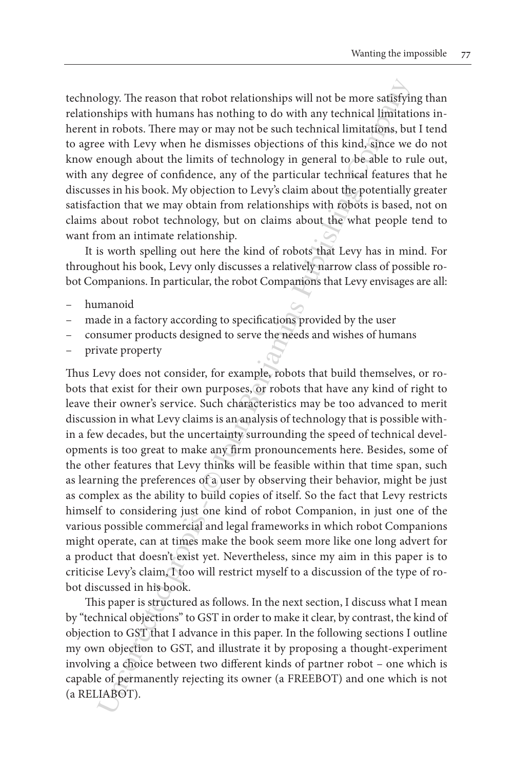technology. The reason that robot relationships will not be more satisfying than relationships with humans has nothing to do with any technical limitations inherent in robots. There may or may not be such technical limitations, but I tend to agree with Levy when he dismisses objections of this kind, since we do not know enough about the limits of technology in general to be able to rule out, with any degree of confidence, any of the particular technical features that he discusses in his book. My objection to Levy's claim about the potentially greater satisfaction that we may obtain from relationships with robots is based, not on claims about robot technology, but on claims about the what people tend to want from an intimate relationship.

It is worth spelling out here the kind of robots that Levy has in mind. For throughout his book, Levy only discusses a relatively narrow class of possible robot Companions. In particular, the robot Companions that Levy envisages are all:

- humanoid
- made in a factory according to specifications provided by the user
- consumer products designed to serve the needs and wishes of humans
- private property

blogy. The reason that robot relationships will not be more satisfy<br>inships with humans has nothing to do with any technical limitati<br>in rotobos. There may or may not be such technical limitations, but<br>in tho boss. There m Thus Levy does not consider, for example, robots that build themselves, or robots that exist for their own purposes, or robots that have any kind of right to leave their owner's service. Such characteristics may be too advanced to merit discussion in what Levy claims is an analysis of technology that is possible within a few decades, but the uncertainty surrounding the speed of technical developments is too great to make any firm pronouncements here. Besides, some of the other features that Levy thinks will be feasible within that time span, such as learning the preferences of a user by observing their behavior, might be just as complex as the ability to build copies of itself. So the fact that Levy restricts himself to considering just one kind of robot Companion, in just one of the various possible commercial and legal frameworks in which robot Companions might operate, can at times make the book seem more like one long advert for a product that doesn't exist yet. Nevertheless, since my aim in this paper is to criticise Levy's claim, I too will restrict myself to a discussion of the type of robot discussed in his book.

This paper is structured as follows. In the next section, I discuss what I mean by "technical objections" to GST in order to make it clear, by contrast, the kind of objection to GST that I advance in this paper. In the following sections I outline my own objection to GST, and illustrate it by proposing a thought-experiment involving a choice between two different kinds of partner robot – one which is capable of permanently rejecting its owner (a FREEBOT) and one which is not (a RELIABOT).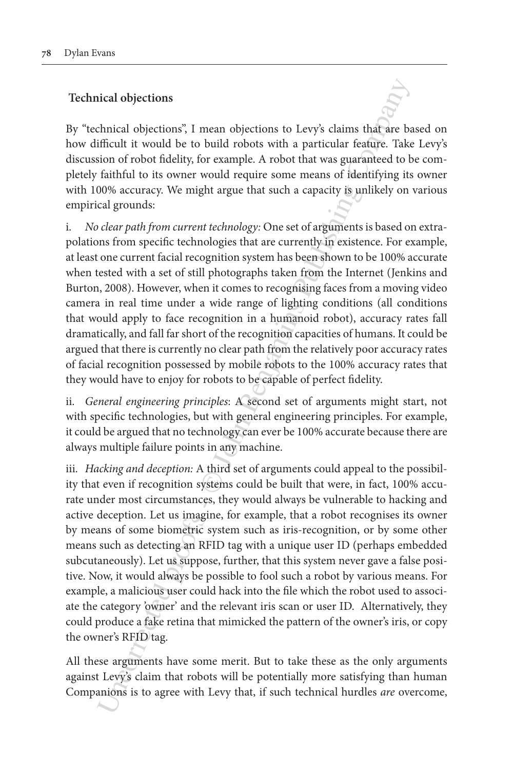## **Technical objections**

By "technical objections", I mean objections to Levy's claims that are based on how difficult it would be to build robots with a particular feature. Take Levy's discussion of robot fidelity, for example. A robot that was guaranteed to be completely faithful to its owner would require some means of identifying its owner with 100% accuracy. We might argue that such a capacity is unlikely on various empirical grounds:

i. *No clear path from current technology:* One set of arguments is based on extrapolations from specific technologies that are currently in existence. For example, at least one current facial recognition system has been shown to be 100% accurate when tested with a set of still photographs taken from the Internet (Jenkins and Burton, 2008). However, when it comes to recognising faces from a moving video camera in real time under a wide range of lighting conditions (all conditions that would apply to face recognition in a humanoid robot), accuracy rates fall dramatically, and fall far short of the recognition capacities of humans. It could be argued that there is currently no clear path from the relatively poor accuracy rates of facial recognition possessed by mobile robots to the 100% accuracy rates that they would have to enjoy for robots to be capable of perfect fidelity.

ii. *General engineering principles*: A second set of arguments might start, not with specific technologies, but with general engineering principles. For example, it could be argued that no technology can ever be 100% accurate because there are always multiple failure points in any machine.

ical objections<br>
ical objections," I mean objections to Levy's claims that are baif<br>ificult it would be to build robots with a particular feature. Take<br>
infincul it would be to build robot swith a particular feature. Take<br> iii. *Hacking and deception:* A third set of arguments could appeal to the possibility that even if recognition systems could be built that were, in fact, 100% accurate under most circumstances, they would always be vulnerable to hacking and active deception. Let us imagine, for example, that a robot recognises its owner by means of some biometric system such as iris-recognition, or by some other means such as detecting an RFID tag with a unique user ID (perhaps embedded subcutaneously). Let us suppose, further, that this system never gave a false positive. Now, it would always be possible to fool such a robot by various means. For example, a malicious user could hack into the file which the robot used to associate the category 'owner' and the relevant iris scan or user ID. Alternatively, they could produce a fake retina that mimicked the pattern of the owner's iris, or copy the owner's RFID tag.

All these arguments have some merit. But to take these as the only arguments against Levy's claim that robots will be potentially more satisfying than human Companions is to agree with Levy that, if such technical hurdles *are* overcome,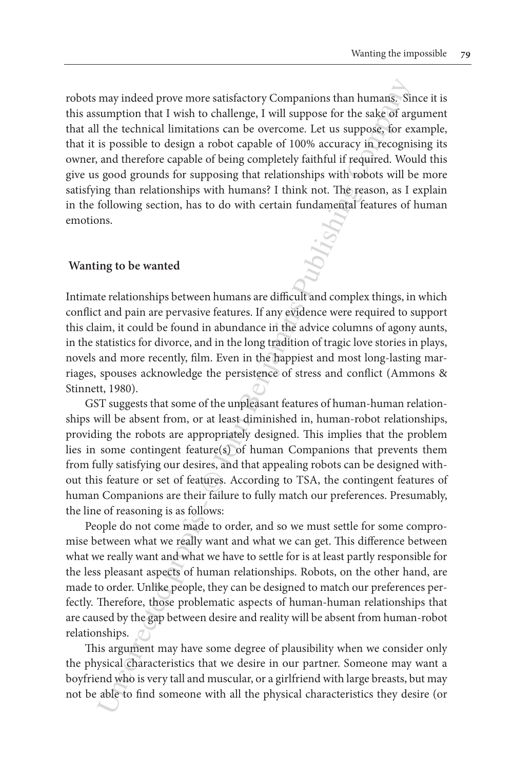may indeed prove more satisfactory Companions than humans; Sin<br>sumption that I wish to challenge, I will suppose for the sake of a<br>providence illustations can be overcome. I.et us suppose<br>for expecte as is possible to des robots may indeed prove more satisfactory Companions than humans. Since it is this assumption that I wish to challenge, I will suppose for the sake of argument that all the technical limitations can be overcome. Let us suppose, for example, that it is possible to design a robot capable of 100% accuracy in recognising its owner, and therefore capable of being completely faithful if required. Would this give us good grounds for supposing that relationships with robots will be more satisfying than relationships with humans? I think not. The reason, as I explain in the following section, has to do with certain fundamental features of human emotions.

#### **Wanting to be wanted**

Intimate relationships between humans are difficult and complex things, in which conflict and pain are pervasive features. If any evidence were required to support this claim, it could be found in abundance in the advice columns of agony aunts, in the statistics for divorce, and in the long tradition of tragic love stories in plays, novels and more recently, film. Even in the happiest and most long-lasting marriages, spouses acknowledge the persistence of stress and conflict (Ammons & Stinnett, 1980).

GST suggests that some of the unpleasant features of human-human relationships will be absent from, or at least diminished in, human-robot relationships, providing the robots are appropriately designed. This implies that the problem lies in some contingent feature(s) of human Companions that prevents them from fully satisfying our desires, and that appealing robots can be designed without this feature or set of features. According to TSA, the contingent features of human Companions are their failure to fully match our preferences. Presumably, the line of reasoning is as follows:

People do not come made to order, and so we must settle for some compromise between what we really want and what we can get. This difference between what we really want and what we have to settle for is at least partly responsible for the less pleasant aspects of human relationships. Robots, on the other hand, are made to order. Unlike people, they can be designed to match our preferences perfectly. Therefore, those problematic aspects of human-human relationships that are caused by the gap between desire and reality will be absent from human-robot relationships.

This argument may have some degree of plausibility when we consider only the physical characteristics that we desire in our partner. Someone may want a boyfriend who is very tall and muscular, or a girlfriend with large breasts, but may not be able to find someone with all the physical characteristics they desire (or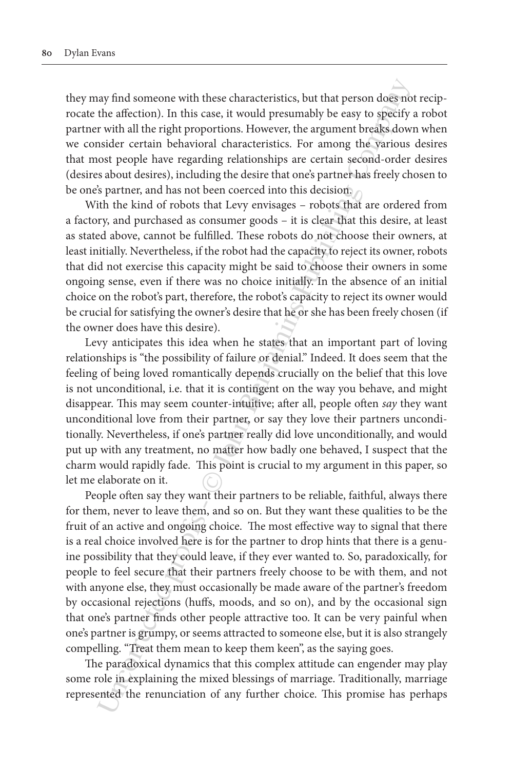they may find someone with these characteristics, but that person does not reciprocate the affection). In this case, it would presumably be easy to specify a robot partner with all the right proportions. However, the argument breaks down when we consider certain behavioral characteristics. For among the various desires that most people have regarding relationships are certain second-order desires (desires about desires), including the desire that one's partner has freely chosen to be one's partner, and has not been coerced into this decision.

With the kind of robots that Levy envisages – robots that are ordered from a factory, and purchased as consumer goods – it is clear that this desire, at least as stated above, cannot be fulfilled. These robots do not choose their owners, at least initially. Nevertheless, if the robot had the capacity to reject its owner, robots that did not exercise this capacity might be said to choose their owners in some ongoing sense, even if there was no choice initially. In the absence of an initial choice on the robot's part, therefore, the robot's capacity to reject its owner would be crucial for satisfying the owner's desire that he or she has been freely chosen (if the owner does have this desire).

Levy anticipates this idea when he states that an important part of loving relationships is "the possibility of failure or denial." Indeed. It does seem that the feeling of being loved romantically depends crucially on the belief that this love is not unconditional, i.e. that it is contingent on the way you behave, and might disappear. This may seem counter-intuitive; after all, people often *say* they want unconditional love from their partner, or say they love their partners unconditionally. Nevertheless, if one's partner really did love unconditionally, and would put up with any treatment, no matter how badly one behaved, I suspect that the charm would rapidly fade. This point is crucial to my argument in this paper, so let me elaborate on it.

ay find someone with these characteristics, but that person does no<br>the affection). In this case, it would presumably be easy to specify<br>with all the right proportions. However, the argument breaks down<br>sisted rectrain beh People often say they want their partners to be reliable, faithful, always there for them, never to leave them, and so on. But they want these qualities to be the fruit of an active and ongoing choice. The most effective way to signal that there is a real choice involved here is for the partner to drop hints that there is a genuine possibility that they could leave, if they ever wanted to. So, paradoxically, for people to feel secure that their partners freely choose to be with them, and not with anyone else, they must occasionally be made aware of the partner's freedom by occasional rejections (huffs, moods, and so on), and by the occasional sign that one's partner finds other people attractive too. It can be very painful when one's partner is grumpy, or seems attracted to someone else, but it is also strangely compelling. "Treat them mean to keep them keen", as the saying goes.

The paradoxical dynamics that this complex attitude can engender may play some role in explaining the mixed blessings of marriage. Traditionally, marriage represented the renunciation of any further choice. This promise has perhaps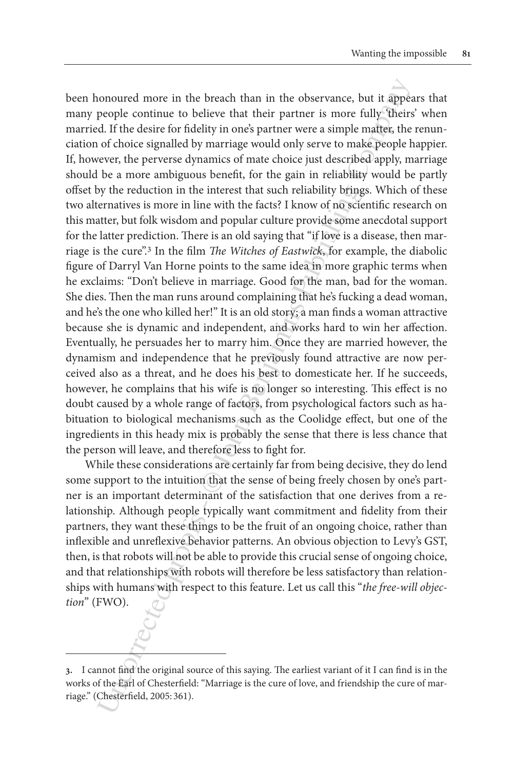onoured more in the breach than in the observance, but it appears<br>people continue to believe that their partner is more fully diheration<br>of choice signalled by marriage would only serve to analope mathes, the<br>of choice si been honoured more in the breach than in the observance, but it appears that many people continue to believe that their partner is more fully 'theirs' when married. If the desire for fidelity in one's partner were a simple matter, the renunciation of choice signalled by marriage would only serve to make people happier. If, however, the perverse dynamics of mate choice just described apply, marriage should be a more ambiguous benefit, for the gain in reliability would be partly offset by the reduction in the interest that such reliability brings. Which of these two alternatives is more in line with the facts? I know of no scientific research on this matter, but folk wisdom and popular culture provide some anecdotal support for the latter prediction. There is an old saying that "if love is a disease, then marriage is the cure".3 In the film *The Witches of Eastwick*, for example, the diabolic figure of Darryl Van Horne points to the same idea in more graphic terms when he exclaims: "Don't believe in marriage. Good for the man, bad for the woman. She dies. Then the man runs around complaining that he's fucking a dead woman, and he's the one who killed her!" It is an old story; a man finds a woman attractive because she is dynamic and independent, and works hard to win her affection. Eventually, he persuades her to marry him. Once they are married however, the dynamism and independence that he previously found attractive are now perceived also as a threat, and he does his best to domesticate her. If he succeeds, however, he complains that his wife is no longer so interesting. This effect is no doubt caused by a whole range of factors, from psychological factors such as habituation to biological mechanisms such as the Coolidge effect, but one of the ingredients in this heady mix is probably the sense that there is less chance that the person will leave, and therefore less to fight for.

While these considerations are certainly far from being decisive, they do lend some support to the intuition that the sense of being freely chosen by one's partner is an important determinant of the satisfaction that one derives from a relationship. Although people typically want commitment and fidelity from their partners, they want these things to be the fruit of an ongoing choice, rather than inflexible and unreflexive behavior patterns. An obvious objection to Levy's GST, then, is that robots will not be able to provide this crucial sense of ongoing choice, and that relationships with robots will therefore be less satisfactory than relationships with humans with respect to this feature. Let us call this "*the free-will objection*" (FWO).

**<sup>3.</sup>** I cannot find the original source of this saying. The earliest variant of it I can find is in the works of the Earl of Chesterfield: "Marriage is the cure of love, and friendship the cure of marriage." (Chesterfield, 2005: 361).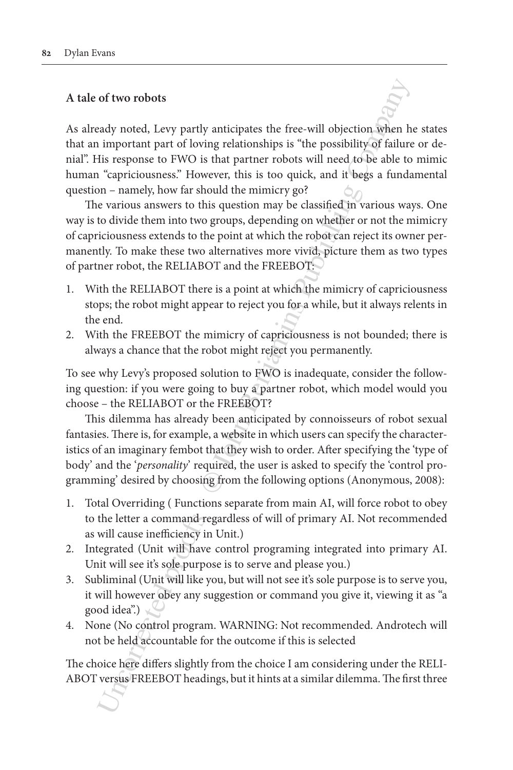### **A tale of two robots**

As already noted, Levy partly anticipates the free-will objection when he states that an important part of loving relationships is "the possibility of failure or denial". His response to FWO is that partner robots will need to be able to mimic human "capriciousness." However, this is too quick, and it begs a fundamental question – namely, how far should the mimicry go?

The various answers to this question may be classified in various ways. One way is to divide them into two groups, depending on whether or not the mimicry of capriciousness extends to the point at which the robot can reject its owner permanently. To make these two alternatives more vivid, picture them as two types of partner robot, the RELIABOT and the FREEBOT:

- 1. With the RELIABOT there is a point at which the mimicry of capriciousness stops; the robot might appear to reject you for a while, but it always relents in the end.
- 2. With the FREEBOT the mimicry of capriciousness is not bounded; there is always a chance that the robot might reject you permanently.

To see why Levy's proposed solution to FWO is inadequate, consider the following question: if you were going to buy a partner robot, which model would you choose – the RELIABOT or the FREEBOT?

of two robots<br>
andy noted, Levy partly anticipates the free-will objection.<br>
Senaral in important part of loving relationships is "the possibility of failures<br>
its response to FWO is that partner robots will need to be ab This dilemma has already been anticipated by connoisseurs of robot sexual fantasies. There is, for example, a website in which users can specify the characteristics of an imaginary fembot that they wish to order. After specifying the 'type of body' and the '*personality*' required, the user is asked to specify the 'control programming' desired by choosing from the following options (Anonymous, 2008):

- 1. Total Overriding ( Functions separate from main AI, will force robot to obey to the letter a command regardless of will of primary AI. Not recommended as will cause inefficiency in Unit.)
- 2. Integrated (Unit will have control programing integrated into primary AI. Unit will see it's sole purpose is to serve and please you.)
- 3. Subliminal (Unit will like you, but will not see it's sole purpose is to serve you, it will however obey any suggestion or command you give it, viewing it as "a good idea".)
- 4. None (No control program. WARNING: Not recommended. Androtech will not be held accountable for the outcome if this is selected

The choice here differs slightly from the choice I am considering under the RELI-ABOT versus FREEBOT headings, but it hints at a similar dilemma. The first three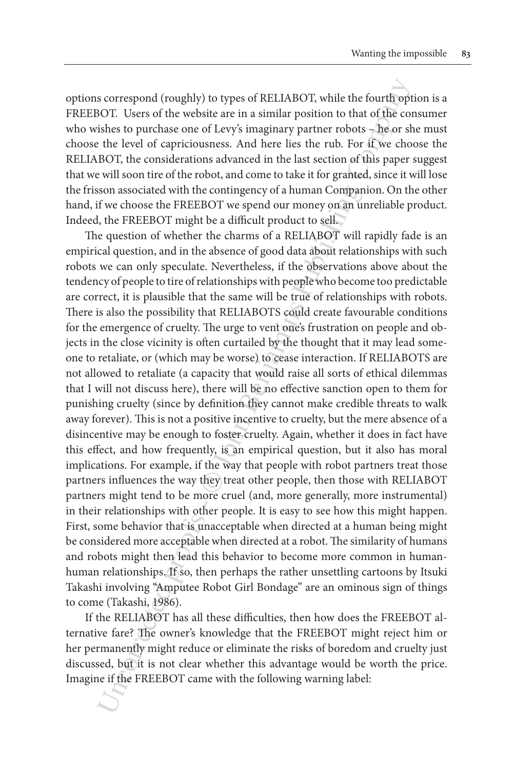options correspond (roughly) to types of RELIABOT, while the fourth option is a FREEBOT. Users of the website are in a similar position to that of the consumer who wishes to purchase one of Levy's imaginary partner robots – he or she must choose the level of capriciousness. And here lies the rub. For if we choose the RELIABOT, the considerations advanced in the last section of this paper suggest that we will soon tire of the robot, and come to take it for granted, since it will lose the frisson associated with the contingency of a human Companion. On the other hand, if we choose the FREEBOT we spend our money on an unreliable product. Indeed, the FREEBOT might be a difficult product to sell.

s correspond (roughly) to types of RELIABOT; while the fourth opitymic softs as the second few the mainlar position to that of the consideration of the the change one of Levy's imaginary partner rotots - The or she she to The question of whether the charms of a RELIABOT will rapidly fade is an empirical question, and in the absence of good data about relationships with such robots we can only speculate. Nevertheless, if the observations above about the tendency of people to tire of relationships with people who become too predictable are correct, it is plausible that the same will be true of relationships with robots. There is also the possibility that RELIABOTS could create favourable conditions for the emergence of cruelty. The urge to vent one's frustration on people and objects in the close vicinity is often curtailed by the thought that it may lead someone to retaliate, or (which may be worse) to cease interaction. If RELIABOTS are not allowed to retaliate (a capacity that would raise all sorts of ethical dilemmas that I will not discuss here), there will be no effective sanction open to them for punishing cruelty (since by definition they cannot make credible threats to walk away forever). This is not a positive incentive to cruelty, but the mere absence of a disincentive may be enough to foster cruelty. Again, whether it does in fact have this effect, and how frequently, is an empirical question, but it also has moral implications. For example, if the way that people with robot partners treat those partners influences the way they treat other people, then those with RELIABOT partners might tend to be more cruel (and, more generally, more instrumental) in their relationships with other people. It is easy to see how this might happen. First, some behavior that is unacceptable when directed at a human being might be considered more acceptable when directed at a robot. The similarity of humans and robots might then lead this behavior to become more common in humanhuman relationships. If so, then perhaps the rather unsettling cartoons by Itsuki Takashi involving "Amputee Robot Girl Bondage" are an ominous sign of things to come (Takashi, 1986).

If the RELIABOT has all these difficulties, then how does the FREEBOT alternative fare? The owner's knowledge that the FREEBOT might reject him or her permanently might reduce or eliminate the risks of boredom and cruelty just discussed, but it is not clear whether this advantage would be worth the price. Imagine if the FREEBOT came with the following warning label: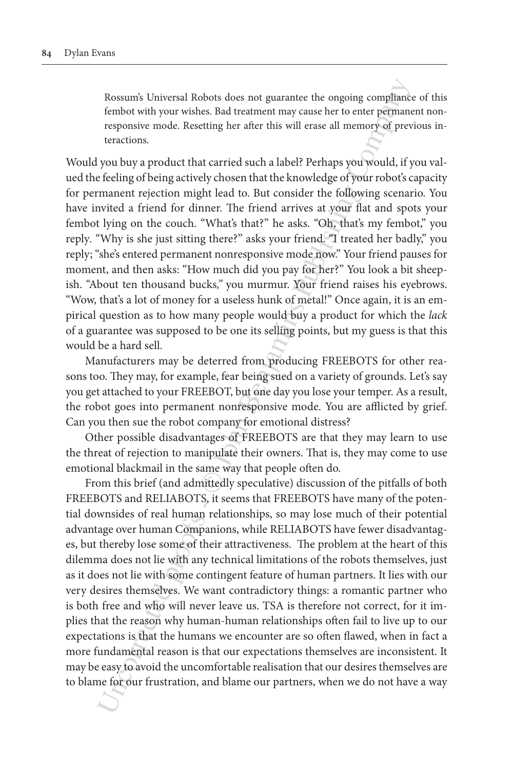Rossum's Universal Robots does not guarantee the ongoing compliance of this fembot with your wishes. Bad treatment may cause her to enter permanent nonresponsive mode. Resetting her after this will erase all memory of previous interactions.

Would you buy a product that carried such a label? Perhaps you would, if you valued the feeling of being actively chosen that the knowledge of your robot's capacity for permanent rejection might lead to. But consider the following scenario. You have invited a friend for dinner. The friend arrives at your flat and spots your fembot lying on the couch. "What's that?" he asks. "Oh, that's my fembot," you reply*.* "Why is she just sitting there?" asks your friend. "I treated her badly," you reply; "she's entered permanent nonresponsive mode now." Your friend pauses for moment, and then asks: "How much did you pay for her?" You look a bit sheepish. "About ten thousand bucks*,"* you murmur. Your friend raises his eyebrows. "Wow, that's a lot of money for a useless hunk of metal!" Once again, it is an empirical question as to how many people would buy a product for which the *lack* of a guarantee was supposed to be one its selling points, but my guess is that this would be a hard sell.

Manufacturers may be deterred from producing FREEBOTS for other reasons too. They may, for example, fear being sued on a variety of grounds. Let's say you get attached to your FREEBOT, but one day you lose your temper. As a result, the robot goes into permanent nonresponsive mode. You are afflicted by grief. Can you then sue the robot company for emotional distress?

Other possible disadvantages of FREEBOTS are that they may learn to use the threat of rejection to manipulate their owners. That is, they may come to use emotional blackmail in the same way that people often do.

Rossum's Universal Robots does not guarantee the ongoing compliancies<br>fembot with your wishes. Bad treatment may cause her to enter permane responsive mode. Resetting her after this will erase all memory<br>domestic modes. R From this brief (and admittedly speculative) discussion of the pitfalls of both FREEBOTS and RELIABOTS, it seems that FREEBOTS have many of the potential downsides of real human relationships, so may lose much of their potential advantage over human Companions, while RELIABOTS have fewer disadvantages, but thereby lose some of their attractiveness. The problem at the heart of this dilemma does not lie with any technical limitations of the robots themselves, just as it does not lie with some contingent feature of human partners. It lies with our very desires themselves. We want contradictory things: a romantic partner who is both free and who will never leave us. TSA is therefore not correct, for it implies that the reason why human-human relationships often fail to live up to our expectations is that the humans we encounter are so often flawed, when in fact a more fundamental reason is that our expectations themselves are inconsistent. It may be easy to avoid the uncomfortable realisation that our desires themselves are to blame for our frustration, and blame our partners, when we do not have a way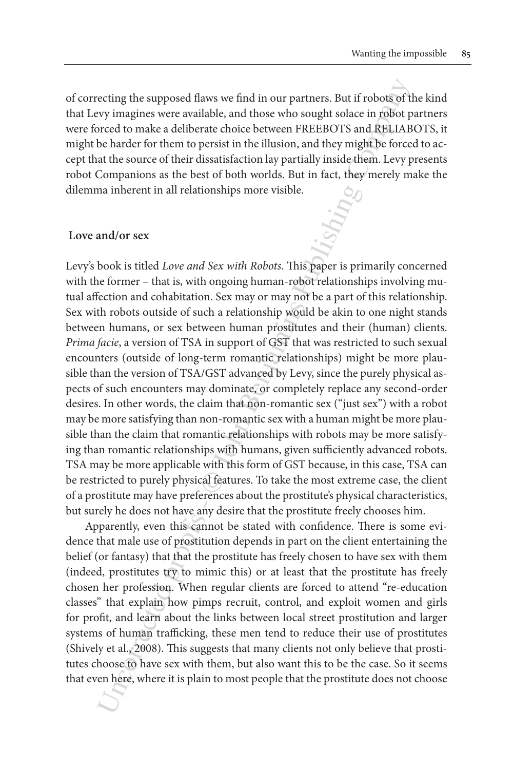of correcting the supposed flaws we find in our partners. But if robots of the kind that Levy imagines were available, and those who sought solace in robot partners were forced to make a deliberate choice between FREEBOTS and RELIABOTS, it might be harder for them to persist in the illusion, and they might be forced to accept that the source of their dissatisfaction lay partially inside them. Levy presents robot Companions as the best of both worlds. But in fact, they merely make the dilemma inherent in all relationships more visible.

#### **Love and/or sex**

ecting the supposed flaws we find in our partners. But if robots of thy imagines were available, and those who sought solace in robot py<br>croced to make a deliberate choice between FREFBOTS and RENA and Solar<br>beharder for t Levy's book is titled *Love and Sex with Robots*. This paper is primarily concerned with the former – that is, with ongoing human-robot relationships involving mutual affection and cohabitation. Sex may or may not be a part of this relationship. Sex with robots outside of such a relationship would be akin to one night stands between humans, or sex between human prostitutes and their (human) clients. *Prima facie*, a version of TSA in support of GST that was restricted to such sexual encounters (outside of long-term romantic relationships) might be more plausible than the version of TSA/GST advanced by Levy, since the purely physical aspects of such encounters may dominate, or completely replace any second-order desires. In other words, the claim that non-romantic sex ("just sex") with a robot may be more satisfying than non-romantic sex with a human might be more plausible than the claim that romantic relationships with robots may be more satisfying than romantic relationships with humans, given sufficiently advanced robots. TSA may be more applicable with this form of GST because, in this case, TSA can be restricted to purely physical features. To take the most extreme case, the client of a prostitute may have preferences about the prostitute's physical characteristics, but surely he does not have any desire that the prostitute freely chooses him.

Apparently, even this cannot be stated with confidence. There is some evidence that male use of prostitution depends in part on the client entertaining the belief (or fantasy) that that the prostitute has freely chosen to have sex with them (indeed, prostitutes try to mimic this) or at least that the prostitute has freely chosen her profession. When regular clients are forced to attend "re-education classes" that explain how pimps recruit, control, and exploit women and girls for profit, and learn about the links between local street prostitution and larger systems of human trafficking, these men tend to reduce their use of prostitutes (Shively et al., 2008). This suggests that many clients not only believe that prostitutes choose to have sex with them, but also want this to be the case. So it seems that even here, where it is plain to most people that the prostitute does not choose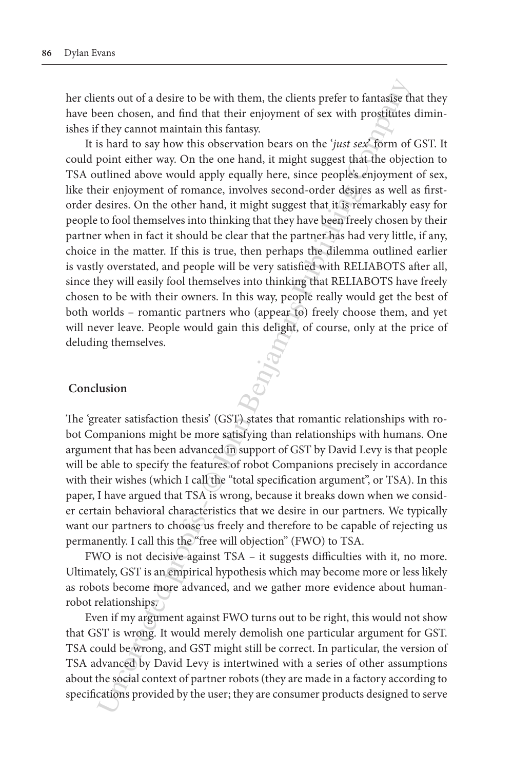her clients out of a desire to be with them, the clients prefer to fantasise that they have been chosen, and find that their enjoyment of sex with prostitutes diminishes if they cannot maintain this fantasy.

ents out of a desire to be with them, the clients prefer to fantasize the<br>en chosen, and find that their enjoyment of sex with prosifities<br>they cannot maintain this fantasy. The mean of sextival beyond the interval book is It is hard to say how this observation bears on the '*just sex*' form of GST. It could point either way. On the one hand, it might suggest that the objection to TSA outlined above would apply equally here, since people's enjoyment of sex, like their enjoyment of romance, involves second-order desires as well as firstorder desires. On the other hand, it might suggest that it is remarkably easy for people to fool themselves into thinking that they have been freely chosen by their partner when in fact it should be clear that the partner has had very little, if any, choice in the matter. If this is true, then perhaps the dilemma outlined earlier is vastly overstated, and people will be very satisfied with RELIABOTS after all, since they will easily fool themselves into thinking that RELIABOTS have freely chosen to be with their owners. In this way, people really would get the best of both worlds – romantic partners who (appear to) freely choose them, and yet will never leave. People would gain this delight, of course, only at the price of deluding themselves.

#### **Conclusion**

The 'greater satisfaction thesis' (GST) states that romantic relationships with robot Companions might be more satisfying than relationships with humans. One argument that has been advanced in support of GST by David Levy is that people will be able to specify the features of robot Companions precisely in accordance with their wishes (which I call the "total specification argument", or TSA). In this paper, I have argued that TSA is wrong, because it breaks down when we consider certain behavioral characteristics that we desire in our partners. We typically want our partners to choose us freely and therefore to be capable of rejecting us permanently. I call this the "free will objection" (FWO) to TSA.

FWO is not decisive against TSA – it suggests difficulties with it, no more. Ultimately, GST is an empirical hypothesis which may become more or less likely as robots become more advanced, and we gather more evidence about humanrobot relationships.

Even if my argument against FWO turns out to be right, this would not show that GST is wrong. It would merely demolish one particular argument for GST. TSA could be wrong, and GST might still be correct. In particular, the version of TSA advanced by David Levy is intertwined with a series of other assumptions about the social context of partner robots (they are made in a factory according to specifications provided by the user; they are consumer products designed to serve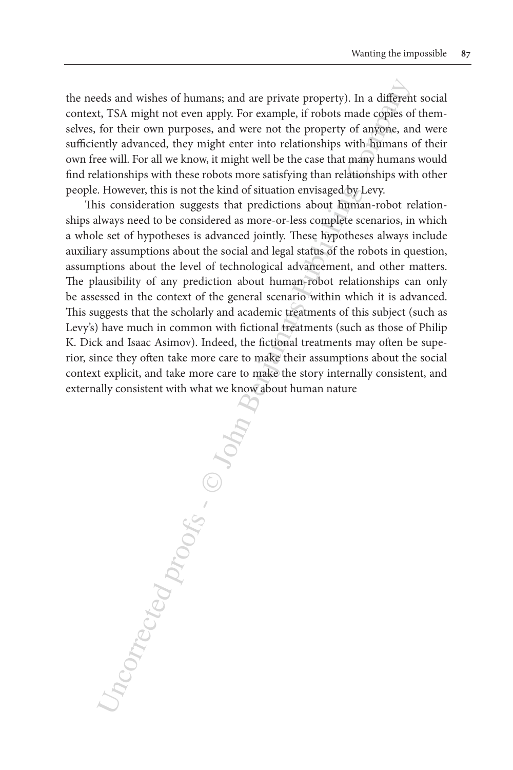the needs and wishes of humans; and are private property). In a different social context, TSA might not even apply. For example, if robots made copies of themselves, for their own purposes, and were not the property of anyone, and were sufficiently advanced, they might enter into relationships with humans of their own free will. For all we know, it might well be the case that many humans would find relationships with these robots more satisfying than relationships with other people. However, this is not the kind of situation envisaged by Levy.

This consideration suggests that predictions about human-robot relationships always need to be considered as more-or-less complete scenarios, in which a whole set of hypotheses is advanced jointly. These hypotheses always include auxiliary assumptions about the social and legal status of the robots in question, assumptions about the level of technological advancement, and other matters. The plausibility of any prediction about human-robot relationships can only be assessed in the context of the general scenario within which it is advanced. This suggests that the scholarly and academic treatments of this subject (such as Levy's) have much in common with fictional treatments (such as those of Philip K. Dick and Isaac Asimov). Indeed, the fictional treatments may often be superior, since they often take more care to make their assumptions about the social context explicit, and take more care to make the story internally consistent, and externally consistent with what we know about human nature

ncorrected proofs - C John